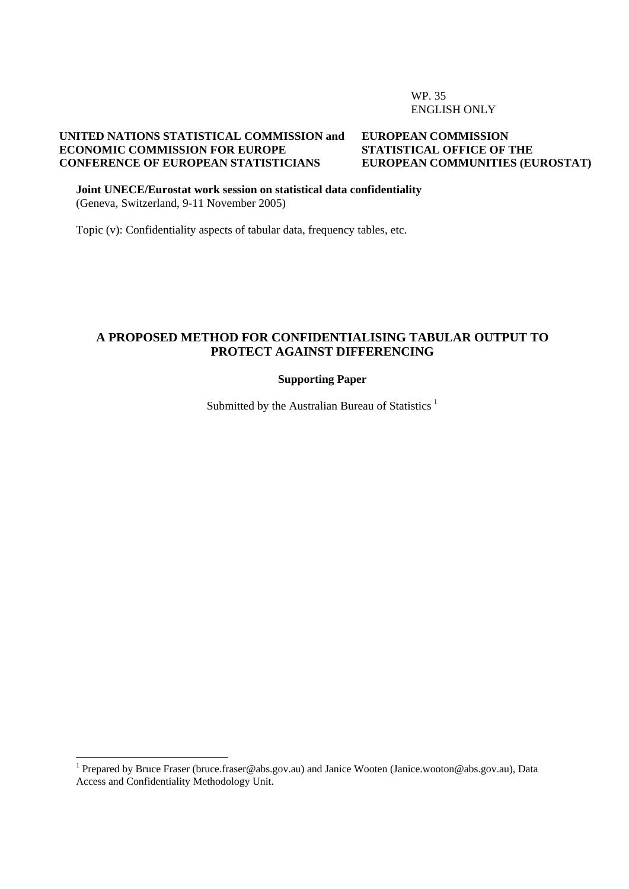WP. 35 ENGLISH ONLY

#### **UNITED NATIONS STATISTICAL COMMISSION and ECONOMIC COMMISSION FOR EUROPE CONFERENCE OF EUROPEAN STATISTICIANS**

#### **EUROPEAN COMMISSION STATISTICAL OFFICE OF THE EUROPEAN COMMUNITIES (EUROSTAT)**

**Joint UNECE/Eurostat work session on statistical data confidentiality**  (Geneva, Switzerland, 9-11 November 2005)

Topic (v): Confidentiality aspects of tabular data, frequency tables, etc.

#### **A PROPOSED METHOD FOR CONFIDENTIALISING TABULAR OUTPUT TO PROTECT AGAINST DIFFERENCING**

#### **Supporting Paper**

Submitted by the Australian Bureau of Statistics<sup>[1](#page-0-0)</sup>

1

<span id="page-0-0"></span><sup>&</sup>lt;sup>1</sup> Prepared by Bruce Fraser (bruce.fraser@abs.gov.au) and Janice Wooten (Janice.wooton@abs.gov.au), Data Access and Confidentiality Methodology Unit.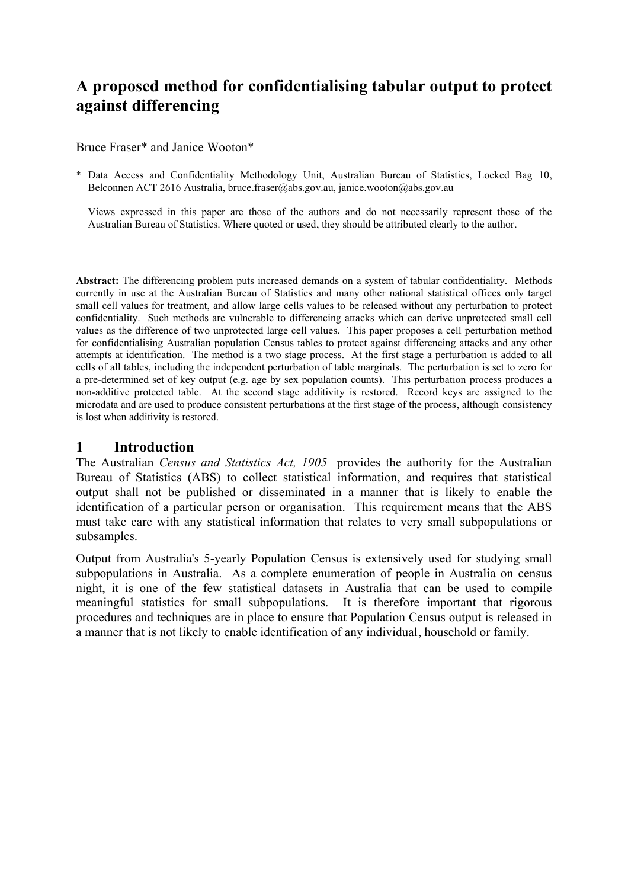# **A proposed method for confidentialising tabular output to protect against differencing**

Bruce Fraser\* and Janice Wooton\*

\* Data Access and Confidentiality Methodology Unit, Australian Bureau of Statistics, Locked Bag 10, Belconnen ACT 2616 Australia, bruce.fraser@abs.gov.au, janice.wooton@abs.gov.au

Views expressed in this paper are those of the authors and do not necessarily represent those of the Australian Bureau of Statistics. Where quoted or used, they should be attributed clearly to the author.

**Abstract:** The differencing problem puts increased demands on a system of tabular confidentiality. Methods currently in use at the Australian Bureau of Statistics and many other national statistical offices only target small cell values for treatment, and allow large cells values to be released without any perturbation to protect confidentiality. Such methods are vulnerable to differencing attacks which can derive unprotected small cell values as the difference of two unprotected large cell values. This paper proposes a cell perturbation method for confidentialising Australian population Census tables to protect against differencing attacks and any other attempts at identification. The method is a two stage process. At the first stage a perturbation is added to all cells of all tables, including the independent perturbation of table marginals. The perturbation is set to zero for a pre-determined set of key output (e.g. age by sex population counts). This perturbation process produces a non-additive protected table. At the second stage additivity is restored. Record keys are assigned to the microdata and are used to produce consistent perturbations at the first stage of the process, although consistency is lost when additivity is restored.

#### **1 Introduction**

The Australian *Census and Statistics Act, 1905* provides the authority for the Australian Bureau of Statistics (ABS) to collect statistical information, and requires that statistical output shall not be published or disseminated in a manner that is likely to enable the identification of a particular person or organisation. This requirement means that the ABS must take care with any statistical information that relates to very small subpopulations or subsamples.

Output from Australia's 5-yearly Population Census is extensively used for studying small subpopulations in Australia. As a complete enumeration of people in Australia on census night, it is one of the few statistical datasets in Australia that can be used to compile meaningful statistics for small subpopulations. It is therefore important that rigorous procedures and techniques are in place to ensure that Population Census output is released in a manner that is not likely to enable identification of any individual, household or family.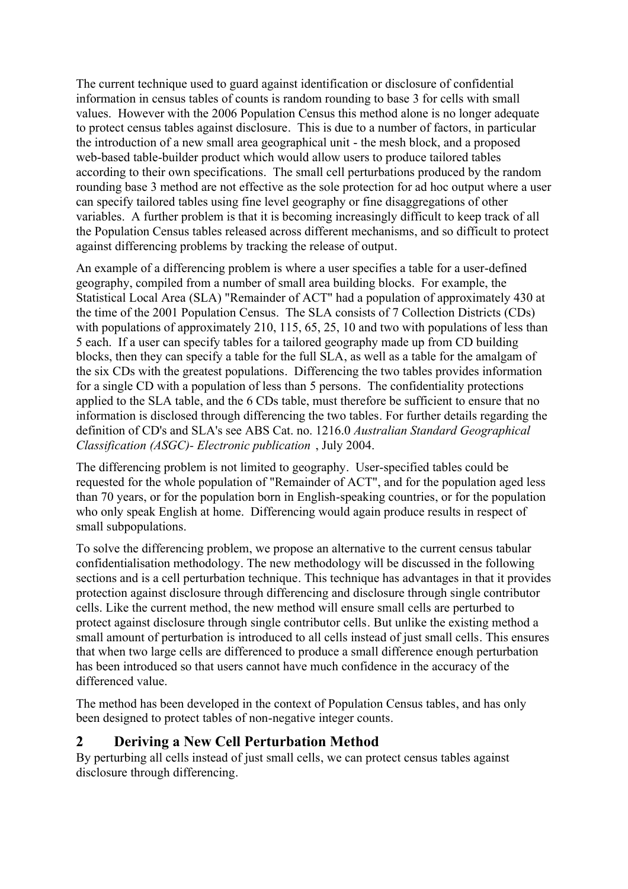The current technique used to guard against identification or disclosure of confidential information in census tables of counts is random rounding to base 3 for cells with small values. However with the 2006 Population Census this method alone is no longer adequate to protect census tables against disclosure. This is due to a number of factors, in particular the introduction of a new small area geographical unit - the mesh block, and a proposed web-based table-builder product which would allow users to produce tailored tables according to their own specifications. The small cell perturbations produced by the random rounding base 3 method are not effective as the sole protection for ad hoc output where a user can specify tailored tables using fine level geography or fine disaggregations of other variables. A further problem is that it is becoming increasingly difficult to keep track of all the Population Census tables released across different mechanisms, and so difficult to protect against differencing problems by tracking the release of output.

An example of a differencing problem is where a user specifies a table for a user-defined geography, compiled from a number of small area building blocks. For example, the Statistical Local Area (SLA) "Remainder of ACT" had a population of approximately 430 at the time of the 2001 Population Census. The SLA consists of 7 Collection Districts (CDs) with populations of approximately 210, 115, 65, 25, 10 and two with populations of less than 5 each. If a user can specify tables for a tailored geography made up from CD building blocks, then they can specify a table for the full SLA, as well as a table for the amalgam of the six CDs with the greatest populations. Differencing the two tables provides information for a single CD with a population of less than 5 persons. The confidentiality protections applied to the SLA table, and the 6 CDs table, must therefore be sufficient to ensure that no information is disclosed through differencing the two tables. For further details regarding the definition of CD's and SLA's see ABS Cat. no. 1216.0 *Australian Standard Geographical Classification (ASGC)- Electronic publication* , July 2004.

The differencing problem is not limited to geography. User-specified tables could be requested for the whole population of "Remainder of ACT", and for the population aged less than 70 years, or for the population born in English-speaking countries, or for the population who only speak English at home. Differencing would again produce results in respect of small subpopulations.

To solve the differencing problem, we propose an alternative to the current census tabular confidentialisation methodology. The new methodology will be discussed in the following sections and is a cell perturbation technique. This technique has advantages in that it provides protection against disclosure through differencing and disclosure through single contributor cells. Like the current method, the new method will ensure small cells are perturbed to protect against disclosure through single contributor cells. But unlike the existing method a small amount of perturbation is introduced to all cells instead of just small cells. This ensures that when two large cells are differenced to produce a small difference enough perturbation has been introduced so that users cannot have much confidence in the accuracy of the differenced value.

The method has been developed in the context of Population Census tables, and has only been designed to protect tables of non-negative integer counts.

### **2 Deriving a New Cell Perturbation Method**

By perturbing all cells instead of just small cells, we can protect census tables against disclosure through differencing.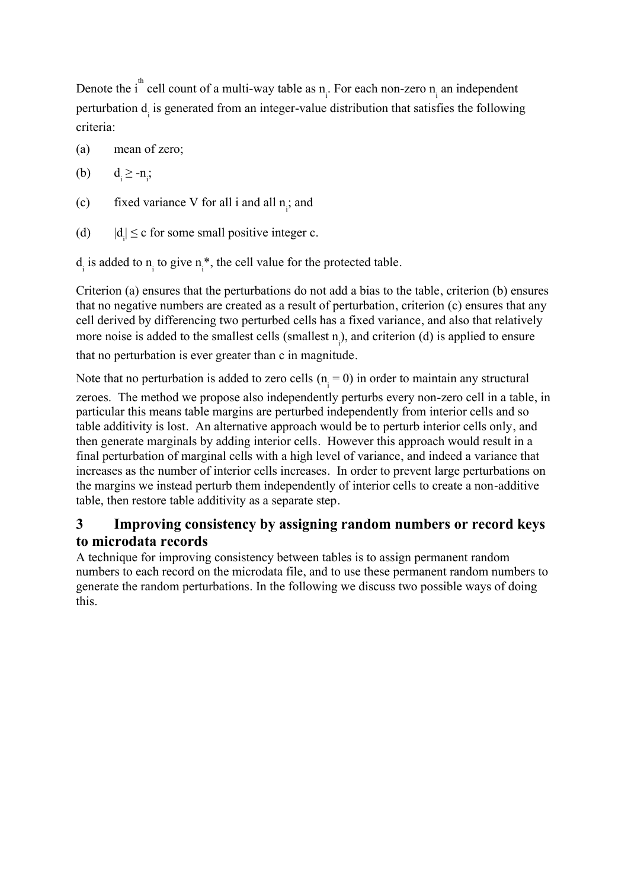Denote the i<sup>th</sup> cell count of a multi-way table as  $n_i$ . For each non-zero  $n_i$  an independent perturbation d<sub>i</sub> is generated from an integer-value distribution that satisfies the following criteria:

(a) mean of zero;

(b)  $d_i \ge -n_i$ ;

- (c) fixed variance V for all i and all  $n_i$ ; and
- $(d)$  $|d| \leq c$  for some small positive integer c.

 $d_i$  is added to  $n_i$  to give  $n_i^*$ , the cell value for the protected table.

Criterion (a) ensures that the perturbations do not add a bias to the table, criterion (b) ensures that no negative numbers are created as a result of perturbation, criterion (c) ensures that any cell derived by differencing two perturbed cells has a fixed variance, and also that relatively more noise is added to the smallest cells (smallest  $n_i$ ), and criterion (d) is applied to ensure that no perturbation is ever greater than c in magnitude.

Note that no perturbation is added to zero cells  $(n_i = 0)$  in order to maintain any structural

zeroes. The method we propose also independently perturbs every non-zero cell in a table, in particular this means table margins are perturbed independently from interior cells and so table additivity is lost. An alternative approach would be to perturb interior cells only, and then generate marginals by adding interior cells. However this approach would result in a final perturbation of marginal cells with a high level of variance, and indeed a variance that increases as the number of interior cells increases. In order to prevent large perturbations on the margins we instead perturb them independently of interior cells to create a non-additive table, then restore table additivity as a separate step.

### **3 Improving consistency by assigning random numbers or record keys to microdata records**

A technique for improving consistency between tables is to assign permanent random numbers to each record on the microdata file, and to use these permanent random numbers to generate the random perturbations. In the following we discuss two possible ways of doing this.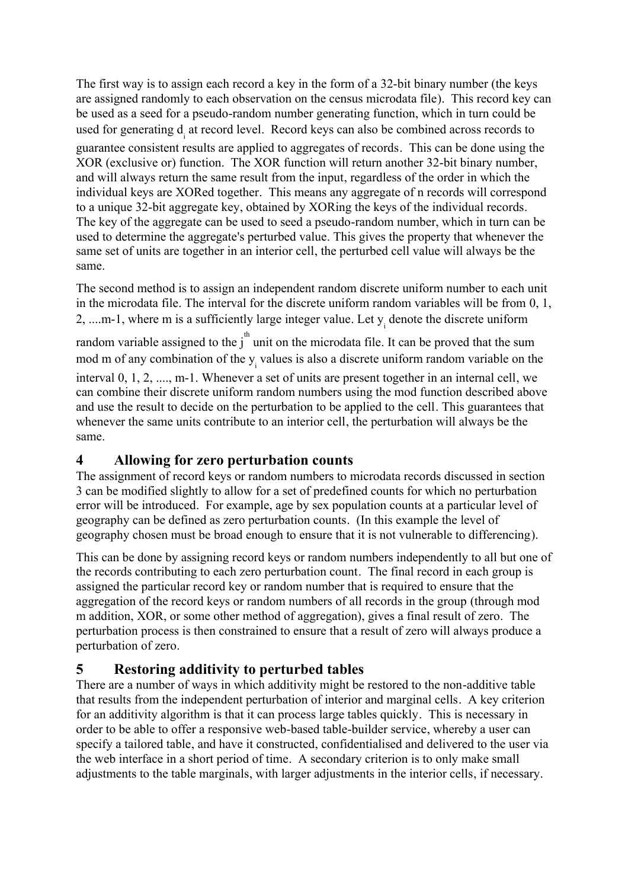The first way is to assign each record a key in the form of a 32-bit binary number (the keys are assigned randomly to each observation on the census microdata file). This record key can be used as a seed for a pseudo-random number generating function, which in turn could be used for generating d<sub>i</sub> at record level. Record keys can also be combined across records to guarantee consistent results are applied to aggregates of records. This can be done using the XOR (exclusive or) function. The XOR function will return another 32-bit binary number, and will always return the same result from the input, regardless of the order in which the individual keys are XORed together. This means any aggregate of n records will correspond to a unique 32-bit aggregate key, obtained by XORing the keys of the individual records. The key of the aggregate can be used to seed a pseudo-random number, which in turn can be used to determine the aggregate's perturbed value. This gives the property that whenever the same set of units are together in an interior cell, the perturbed cell value will always be the same.

The second method is to assign an independent random discrete uniform number to each unit in the microdata file. The interval for the discrete uniform random variables will be from 0, 1, 2, ... m-1, where m is a sufficiently large integer value. Let  $y_i$  denote the discrete uniform random variable assigned to the  $j^{\text{th}}$  unit on the microdata file. It can be proved that the sum mod m of any combination of the  $y_i$  values is also a discrete uniform random variable on the interval 0, 1, 2, ...., m-1. Whenever a set of units are present together in an internal cell, we can combine their discrete uniform random numbers using the mod function described above and use the result to decide on the perturbation to be applied to the cell. This guarantees that whenever the same units contribute to an interior cell, the perturbation will always be the

### **4 Allowing for zero perturbation counts**

same.

The assignment of record keys or random numbers to microdata records discussed in section 3 can be modified slightly to allow for a set of predefined counts for which no perturbation error will be introduced. For example, age by sex population counts at a particular level of geography can be defined as zero perturbation counts. (In this example the level of geography chosen must be broad enough to ensure that it is not vulnerable to differencing).

This can be done by assigning record keys or random numbers independently to all but one of the records contributing to each zero perturbation count. The final record in each group is assigned the particular record key or random number that is required to ensure that the aggregation of the record keys or random numbers of all records in the group (through mod m addition, XOR, or some other method of aggregation), gives a final result of zero. The perturbation process is then constrained to ensure that a result of zero will always produce a perturbation of zero.

## **5 Restoring additivity to perturbed tables**

There are a number of ways in which additivity might be restored to the non-additive table that results from the independent perturbation of interior and marginal cells. A key criterion for an additivity algorithm is that it can process large tables quickly. This is necessary in order to be able to offer a responsive web-based table-builder service, whereby a user can specify a tailored table, and have it constructed, confidentialised and delivered to the user via the web interface in a short period of time. A secondary criterion is to only make small adjustments to the table marginals, with larger adjustments in the interior cells, if necessary.